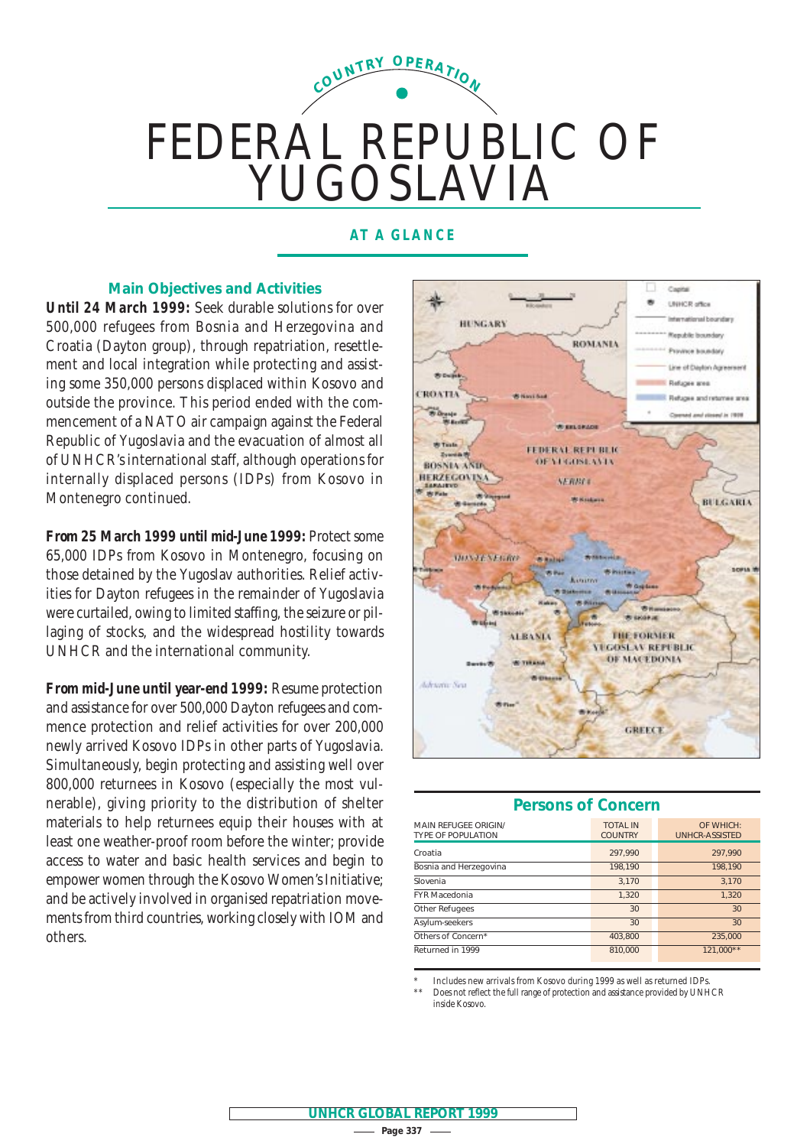# FEDERAL REPUBLIC OF YUGOSLAVIA **<sup>C</sup>OUNTR<sup>Y</sup> <sup>O</sup>PERATIO<sup>N</sup>**

# **AT A GLANCE**

 $-$  Page 337  $-$ **UNHCR GLOBAL REPORT 1999**

# **Main Objectives and Activities**

*Until 24 March 1999:* Seek durable solutions for over 500,000 refugees from Bosnia and Herzegovina and Croatia (Dayton group), through repatriation, resettlement and local integration while protecting and assisting some 350,000 persons displaced within Kosovo and outside the province. This period ended with the commencement of a NATO air campaign against the Federal Republic of Yugoslavia and the evacuation of almost all of UNHCR's international staff, although operations for internally displaced persons (IDPs) from Kosovo in Montenegro continued.

*From 25 March 1999 until mid-June 1999:* Protect some 65,000 IDPs from Kosovo in Montenegro, focusing on those detained by the Yugoslav authorities. Relief activities for Dayton refugees in the remainder of Yugoslavia were curtailed, owing to limited staffing, the seizure or pillaging of stocks, and the widespread hostility towards UNHCR and the international community.

*From mid-June until year-end 1999:* Resume protection and assistance for over 500,000 Dayton refugees and commence protection and relief activities for over 200,000 newly arrived Kosovo IDPs in other parts of Yugoslavia. Simultaneously, begin protecting and assisting well over 800,000 returnees in Kosovo (especially the most vulnerable), giving priority to the distribution of shelter materials to help returnees equip their houses with at least one weather-proof room before the winter; provide access to water and basic health services and begin to empower women through the Kosovo Women's Initiative; and be actively involved in organised repatriation movements from third countries, working closely with IOM and others.



| <b>Persons of Concern</b>                                |                                   |                                    |  |  |  |  |  |  |
|----------------------------------------------------------|-----------------------------------|------------------------------------|--|--|--|--|--|--|
| <b>MAIN REFUGEE ORIGIN/</b><br><b>TYPE OF POPULATION</b> | <b>TOTAL IN</b><br><b>COUNTRY</b> | OF WHICH:<br><b>UNHCR-ASSISTED</b> |  |  |  |  |  |  |
| Croatia                                                  | 297,990                           | 297,990                            |  |  |  |  |  |  |
| Bosnia and Herzegovina                                   | 198,190                           | 198,190                            |  |  |  |  |  |  |
| Slovenia                                                 | 3.170                             | 3.170                              |  |  |  |  |  |  |
| <b>FYR Macedonia</b>                                     | 1.320                             | 1.320                              |  |  |  |  |  |  |
| Other Refugees                                           | 30                                | 30                                 |  |  |  |  |  |  |
| Asylum-seekers                                           | 30                                | 30                                 |  |  |  |  |  |  |
| Others of Concern*                                       | 403.800                           | 235,000                            |  |  |  |  |  |  |
| Returned in 1999                                         | 810,000                           | 121.000**                          |  |  |  |  |  |  |

Includes new arrivals from Kosovo during 1999 as well as returned IDPs.

Does not reflect the full range of protection and assistance provided by UNHCR inside Kosovo.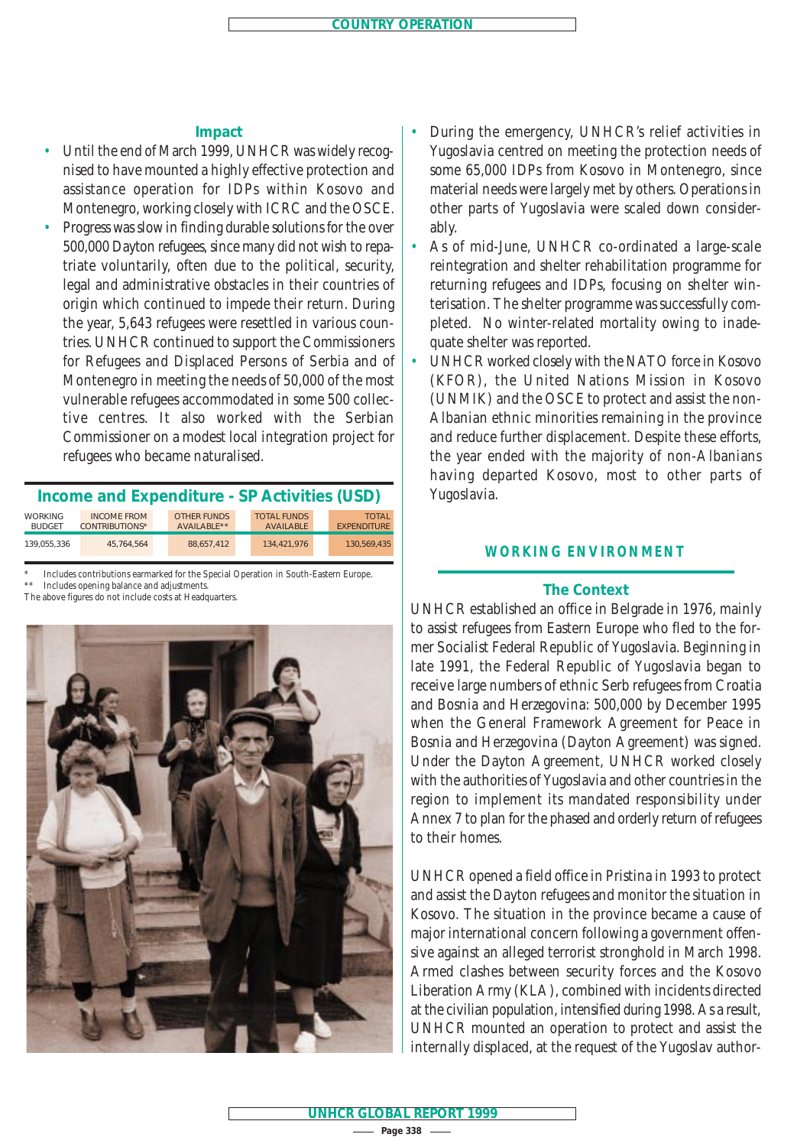# **Impact**

- Until the end of March 1999, UNHCR was widely recognised to have mounted a highly effective protection and assistance operation for IDPs within Kosovo and Montenegro, working closely with ICRC and the OSCE.
- Progress was slow in finding durable solutions for the over 500,000 Dayton refugees, since many did not wish to repatriate voluntarily, often due to the political, security, legal and administrative obstacles in their countries of origin which continued to impede their return. During the year, 5,643 refugees were resettled in various countries. UNHCR continued to support the Commissioners for Refugees and Displaced Persons of Serbia and of Montenegro in meeting the needs of 50,000 of the most vulnerable refugees accommodated in some 500 collective centres. It also worked with the Serbian Commissioner on a modest local integration project for refugees who became naturalised.

| Income and Expenditure - SP Activities (USD) |                                             |                                   |  |                                        |  |                                    |  |  |  |
|----------------------------------------------|---------------------------------------------|-----------------------------------|--|----------------------------------------|--|------------------------------------|--|--|--|
| <b>WORKING</b><br><b>BUDGET</b>              | <b>INCOME FROM</b><br><b>CONTRIBUTIONS*</b> | <b>OTHER FUNDS</b><br>AVAILABLE** |  | <b>TOTAL FUNDS</b><br><b>AVAILABLE</b> |  | <b>TOTAL</b><br><b>EXPENDITURE</b> |  |  |  |
| 139.055.336                                  | 45.764.564                                  | 88.657.412                        |  | 134.421.976                            |  | 130.569.435                        |  |  |  |

\* Includes contributions earmarked for the Special Operation in South-Eastern Europe. \*\* Includes opening balance and adjustments.

The above figures do not include costs at Headquarters.



- During the emergency, UNHCR's relief activities in Yugoslavia centred on meeting the protection needs of some 65,000 IDPs from Kosovo in Montenegro, since material needs were largely met by others. Operations in other parts of Yugoslavia were scaled down considerably.
- As of mid-June, UNHCR co-ordinated a large-scale reintegration and shelter rehabilitation programme for returning refugees and IDPs, focusing on shelter winterisation. The shelter programme was successfully completed. No winter-related mortality owing to inadequate shelter was reported.
- UNHCR worked closely with the NATO force in Kosovo (KFOR), the United Nations Mission in Kosovo (UNMIK) and the OSCE to protect and assist the non-Albanian ethnic minorities remaining in the province and reduce further displacement. Despite these efforts, the year ended with the majority of non-Albanians having departed Kosovo, most to other parts of Yugoslavia.

# **WORKING ENVIRONMENT**

# **The Context**

UNHCR established an office in Belgrade in 1976, mainly to assist refugees from Eastern Europe who fled to the former Socialist Federal Republic of Yugoslavia. Beginning in late 1991, the Federal Republic of Yugoslavia began to receive large numbers of ethnic Serb refugees from Croatia and Bosnia and Herzegovina: 500,000 by December 1995 when the General Framework Agreement for Peace in Bosnia and Herzegovina (Dayton Agreement) was signed. Under the Dayton Agreement, UNHCR worked closely with the authorities of Yugoslavia and other countries in the region to implement its mandated responsibility under Annex 7 to plan for the phased and orderly return of refugees to their homes.

UNHCR opened a field office in Pristina in 1993 to protect and assist the Dayton refugees and monitor the situation in Kosovo. The situation in the province became a cause of major international concern following a government offensive against an alleged terrorist stronghold in March 1998. Armed clashes between security forces and the Kosovo Liberation Army (KLA), combined with incidents directed at the civilian population, intensified during 1998. As a result, UNHCR mounted an operation to protect and assist the internally displaced, at the request of the Yugoslav author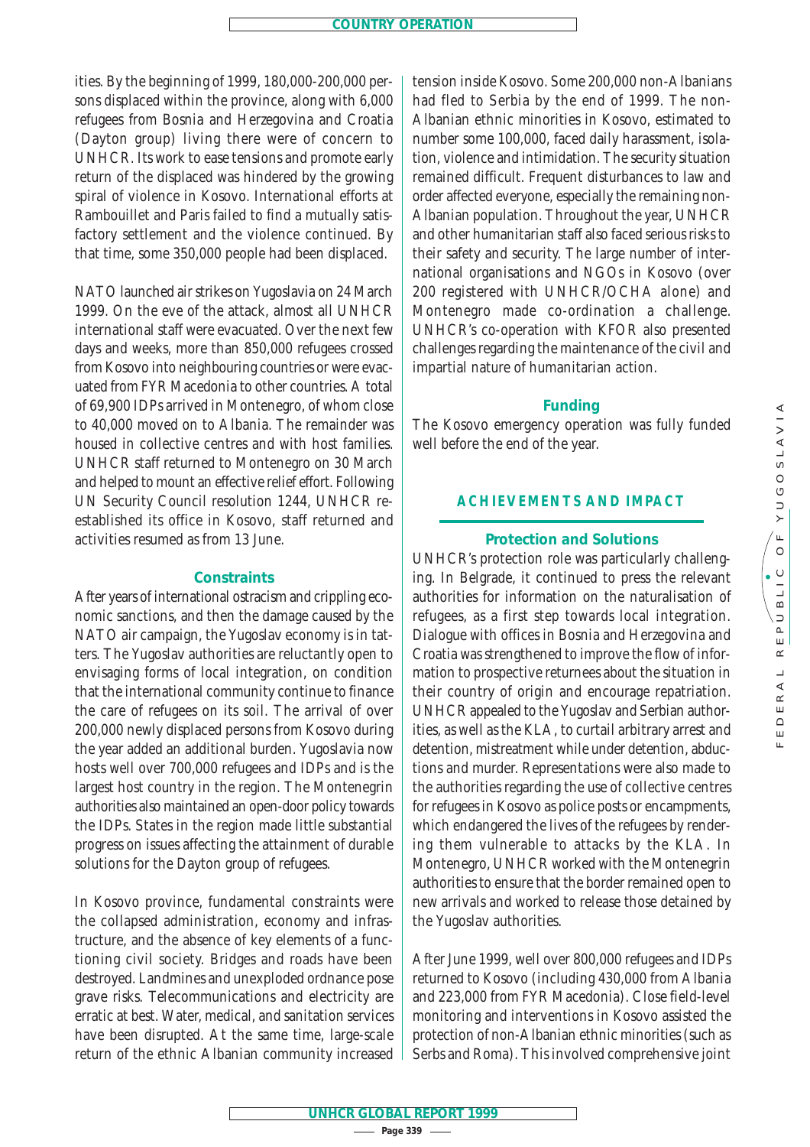ities. By the beginning of 1999, 180,000-200,000 persons displaced within the province, along with 6,000 refugees from Bosnia and Herzegovina and Croatia (Dayton group) living there were of concern to UNHCR. Its work to ease tensions and promote early return of the displaced was hindered by the growing spiral of violence in Kosovo. International efforts at Rambouillet and Paris failed to find a mutually satisfactory settlement and the violence continued. By that time, some 350,000 people had been displaced.

NATO launched air strikes on Yugoslavia on 24 March 1999. On the eve of the attack, almost all UNHCR international staff were evacuated. Over the next few days and weeks, more than 850,000 refugees crossed from Kosovo into neighbouring countries or were evacuated from FYR Macedonia to other countries. A total of 69,900 IDPs arrived in Montenegro, of whom close to 40,000 moved on to Albania. The remainder was housed in collective centres and with host families. UNHCR staff returned to Montenegro on 30 March and helped to mount an effective relief effort. Following UN Security Council resolution 1244, UNHCR reestablished its office in Kosovo, staff returned and activities resumed as from 13 June.

# **Constraints**

After years of international ostracism and crippling economic sanctions, and then the damage caused by the NATO air campaign, the Yugoslav economy is in tatters. The Yugoslav authorities are reluctantly open to envisaging forms of local integration, on condition that the international community continue to finance the care of refugees on its soil. The arrival of over 200,000 newly displaced persons from Kosovo during the year added an additional burden. Yugoslavia now hosts well over 700,000 refugees and IDPs and is the largest host country in the region. The Montenegrin authorities also maintained an open-door policy towards the IDPs. States in the region made little substantial progress on issues affecting the attainment of durable solutions for the Dayton group of refugees.

In Kosovo province, fundamental constraints were the collapsed administration, economy and infrastructure, and the absence of key elements of a functioning civil society. Bridges and roads have been destroyed. Landmines and unexploded ordnance pose grave risks. Telecommunications and electricity are erratic at best. Water, medical, and sanitation services have been disrupted. At the same time, large-scale return of the ethnic Albanian community increased tension inside Kosovo. Some 200,000 non-Albanians had fled to Serbia by the end of 1999. The non-Albanian ethnic minorities in Kosovo, estimated to number some 100,000, faced daily harassment, isolation, violence and intimidation. The security situation remained difficult. Frequent disturbances to law and order affected everyone, especially the remaining non-Albanian population. Throughout the year, UNHCR and other humanitarian staff also faced serious risks to their safety and security. The large number of international organisations and NGOs in Kosovo (over 200 registered with UNHCR/OCHA alone) and Montenegro made co-ordination a challenge. UNHCR's co-operation with KFOR also presented challenges regarding the maintenance of the civil and impartial nature of humanitarian action.

## **Funding**

The Kosovo emergency operation was fully funded well before the end of the year.

# **ACHIEVEMENTS AND IMPACT**

## **Protection and Solutions**

UNHCR's protection role was particularly challenging. In Belgrade, it continued to press the relevant authorities for information on the naturalisation of refugees, as a first step towards local integration. Dialogue with offices in Bosnia and Herzegovina and Croatia was strengthened to improve the flow of information to prospective returnees about the situation in their country of origin and encourage repatriation. UNHCR appealed to the Yugoslav and Serbian authorities, as well as the KLA, to curtail arbitrary arrest and detention, mistreatment while under detention, abductions and murder. Representations were also made to the authorities regarding the use of collective centres for refugees in Kosovo as police posts or encampments, which endangered the lives of the refugees by rendering them vulnerable to attacks by the KLA. In Montenegro, UNHCR worked with the Montenegrin authorities to ensure that the border remained open to new arrivals and worked to release those detained by the Yugoslav authorities.

After June 1999, well over 800,000 refugees and IDPs returned to Kosovo (including 430,000 from Albania and 223,000 from FYR Macedonia). Close field-level monitoring and interventions in Kosovo assisted the protection of non-Albanian ethnic minorities (such as Serbs and Roma). This involved comprehensive joint

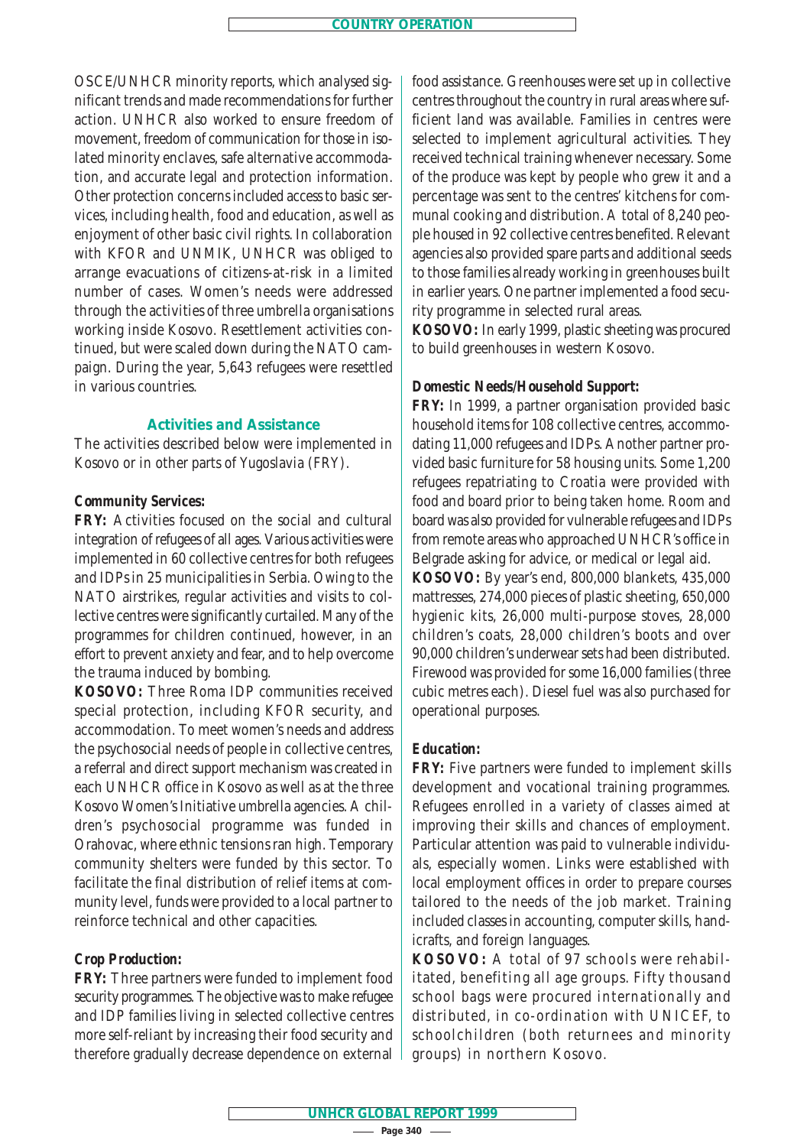OSCE/UNHCR minority reports, which analysed significant trends and made recommendations for further action. UNHCR also worked to ensure freedom of movement, freedom of communication for those in isolated minority enclaves, safe alternative accommodation, and accurate legal and protection information. Other protection concerns included access to basic services, including health, food and education, as well as enjoyment of other basic civil rights. In collaboration with KFOR and UNMIK, UNHCR was obliged to arrange evacuations of citizens-at-risk in a limited number of cases. Women's needs were addressed through the activities of three umbrella organisations working inside Kosovo. Resettlement activities continued, but were scaled down during the NATO campaign. During the year, 5,643 refugees were resettled in various countries.

## **Activities and Assistance**

The activities described below were implemented in Kosovo or in other parts of Yugoslavia (FRY).

## *Community Services:*

*FRY:* Activities focused on the social and cultural integration of refugees of all ages. Various activities were implemented in 60 collective centres for both refugees and IDPs in 25 municipalities in Serbia. Owing to the NATO airstrikes, regular activities and visits to collective centres were significantly curtailed. Many of the programmes for children continued, however, in an effort to prevent anxiety and fear, and to help overcome the trauma induced by bombing.

*KOSOVO:* Three Roma IDP communities received special protection, including KFOR security, and accommodation. To meet women's needs and address the psychosocial needs of people in collective centres, a referral and direct support mechanism was created in each UNHCR office in Kosovo as well as at the three Kosovo Women's Initiative umbrella agencies. A children's psychosocial programme was funded in Orahovac, where ethnic tensions ran high. Temporary community shelters were funded by this sector. To facilitate the final distribution of relief items at community level, funds were provided to a local partner to reinforce technical and other capacities.

## *Crop Production:*

*FRY:* Three partners were funded to implement food security programmes. The objective was to make refugee and IDP families living in selected collective centres more self-reliant by increasing their food security and therefore gradually decrease dependence on external food assistance. Greenhouses were set up in collective centres throughout the country in rural areas where sufficient land was available. Families in centres were selected to implement agricultural activities. They received technical training whenever necessary. Some of the produce was kept by people who grew it and a percentage was sent to the centres' kitchens for communal cooking and distribution. A total of 8,240 people housed in 92 collective centres benefited. Relevant agencies also provided spare parts and additional seeds to those families already working in greenhouses built in earlier years. One partner implemented a food security programme in selected rural areas.

*KOSOVO:* In early 1999, plastic sheeting was procured to build greenhouses in western Kosovo.

## *Domestic Needs/Household Support:*

*FRY:* In 1999, a partner organisation provided basic household items for 108 collective centres, accommodating 11,000 refugees and IDPs. Another partner provided basic furniture for 58 housing units. Some 1,200 refugees repatriating to Croatia were provided with food and board prior to being taken home. Room and board was also provided for vulnerable refugees and IDPs from remote areas who approached UNHCR's office in Belgrade asking for advice, or medical or legal aid. *KOSOVO:* By year's end, 800,000 blankets, 435,000 mattresses, 274,000 pieces of plastic sheeting, 650,000 hygienic kits, 26,000 multi-purpose stoves, 28,000 children's coats, 28,000 children's boots and over 90,000 children's underwear sets had been distributed. Firewood was provided for some 16,000 families (three cubic metres each). Diesel fuel was also purchased for operational purposes.

#### *Education:*

*FRY:* Five partners were funded to implement skills development and vocational training programmes. Refugees enrolled in a variety of classes aimed at improving their skills and chances of employment. Particular attention was paid to vulnerable individuals, especially women. Links were established with local employment offices in order to prepare courses tailored to the needs of the job market. Training included classes in accounting, computer skills, handicrafts, and foreign languages.

*KOSOVO:* A total of 97 schools were rehabilitated, benefiting all age groups. Fifty thousand school bags were procured internationally and distributed, in co-ordination with UNICEF, to schoolchildren (both returnees and minority groups) in northern Kosovo.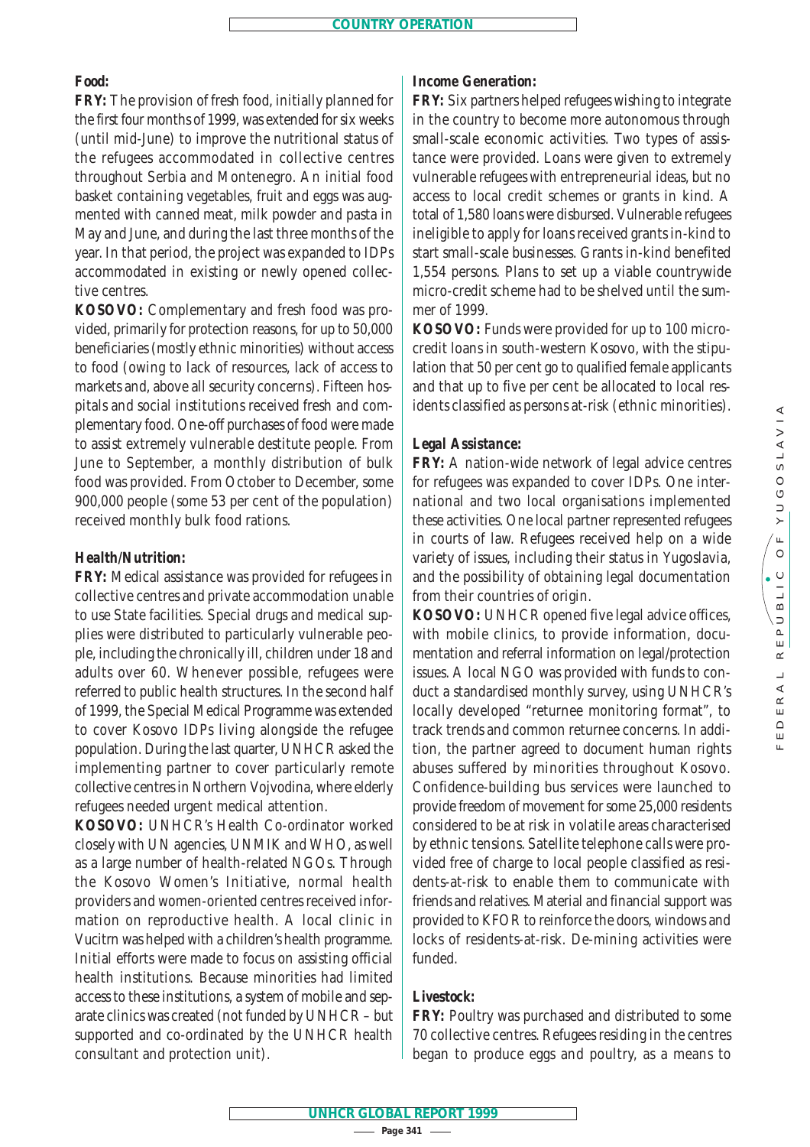# *Food:*

*FRY:* The provision of fresh food, initially planned for the first four months of 1999, was extended for six weeks (until mid-June) to improve the nutritional status of the refugees accommodated in collective centres throughout Serbia and Montenegro. An initial food basket containing vegetables, fruit and eggs was augmented with canned meat, milk powder and pasta in May and June, and during the last three months of the year. In that period, the project was expanded to IDPs accommodated in existing or newly opened collective centres.

*KOSOVO:* Complementary and fresh food was provided, primarily for protection reasons, for up to 50,000 beneficiaries (mostly ethnic minorities) without access to food (owing to lack of resources, lack of access to markets and, above all security concerns). Fifteen hospitals and social institutions received fresh and complementary food. One-off purchases of food were made to assist extremely vulnerable destitute people. From June to September, a monthly distribution of bulk food was provided. From October to December, some 900,000 people (some 53 per cent of the population) received monthly bulk food rations.

# *Health/Nutrition:*

*FRY:* Medical assistance was provided for refugees in collective centres and private accommodation unable to use State facilities. Special drugs and medical supplies were distributed to particularly vulnerable people, including the chronically ill, children under 18 and adults over 60. Whenever possible, refugees were referred to public health structures. In the second half of 1999, the Special Medical Programme was extended to cover Kosovo IDPs living alongside the refugee population. During the last quarter, UNHCR asked the implementing partner to cover particularly remote collective centres in Northern Vojvodina, where elderly refugees needed urgent medical attention.

*KOSOVO:* UNHCR's Health Co-ordinator worked closely with UN agencies, UNMIK and WHO, as well as a large number of health-related NGOs. Through the Kosovo Women's Initiative, normal health providers and women-oriented centres received information on reproductive health. A local clinic in Vucitrn was helped with a children's health programme. Initial efforts were made to focus on assisting official health institutions. Because minorities had limited access to these institutions, a system of mobile and separate clinics was created (not funded by UNHCR – but supported and co-ordinated by the UNHCR health consultant and protection unit).

# *Income Generation:*

*FRY:* Six partners helped refugees wishing to integrate in the country to become more autonomous through small-scale economic activities. Two types of assistance were provided. Loans were given to extremely vulnerable refugees with entrepreneurial ideas, but no access to local credit schemes or grants in kind. A total of 1,580 loans were disbursed. Vulnerable refugees ineligible to apply for loans received grants in-kind to start small-scale businesses. Grants in-kind benefited 1,554 persons. Plans to set up a viable countrywide micro-credit scheme had to be shelved until the summer of 1999.

*KOSOVO:* Funds were provided for up to 100 microcredit loans in south-western Kosovo, with the stipulation that 50 per cent go to qualified female applicants and that up to five per cent be allocated to local residents classified as persons at-risk (ethnic minorities).

## *Legal Assistance:*

*FRY:* A nation-wide network of legal advice centres for refugees was expanded to cover IDPs. One international and two local organisations implemented these activities. One local partner represented refugees in courts of law. Refugees received help on a wide variety of issues, including their status in Yugoslavia, and the possibility of obtaining legal documentation from their countries of origin.

*KOSOVO:* UNHCR opened five legal advice offices, with mobile clinics, to provide information, documentation and referral information on legal/protection issues. A local NGO was provided with funds to conduct a standardised monthly survey, using UNHCR's locally developed "returnee monitoring format", to track trends and common returnee concerns. In addition, the partner agreed to document human rights abuses suffered by minorities throughout Kosovo. Confidence-building bus services were launched to provide freedom of movement for some 25,000 residents considered to be at risk in volatile areas characterised by ethnic tensions. Satellite telephone calls were provided free of charge to local people classified as residents-at-risk to enable them to communicate with friends and relatives. Material and financial support was provided to KFOR to reinforce the doors, windows and locks of residents-at-risk. De-mining activities were funded.

# *Livestock:*

*FRY:* Poultry was purchased and distributed to some 70 collective centres. Refugees residing in the centres began to produce eggs and poultry, as a means to

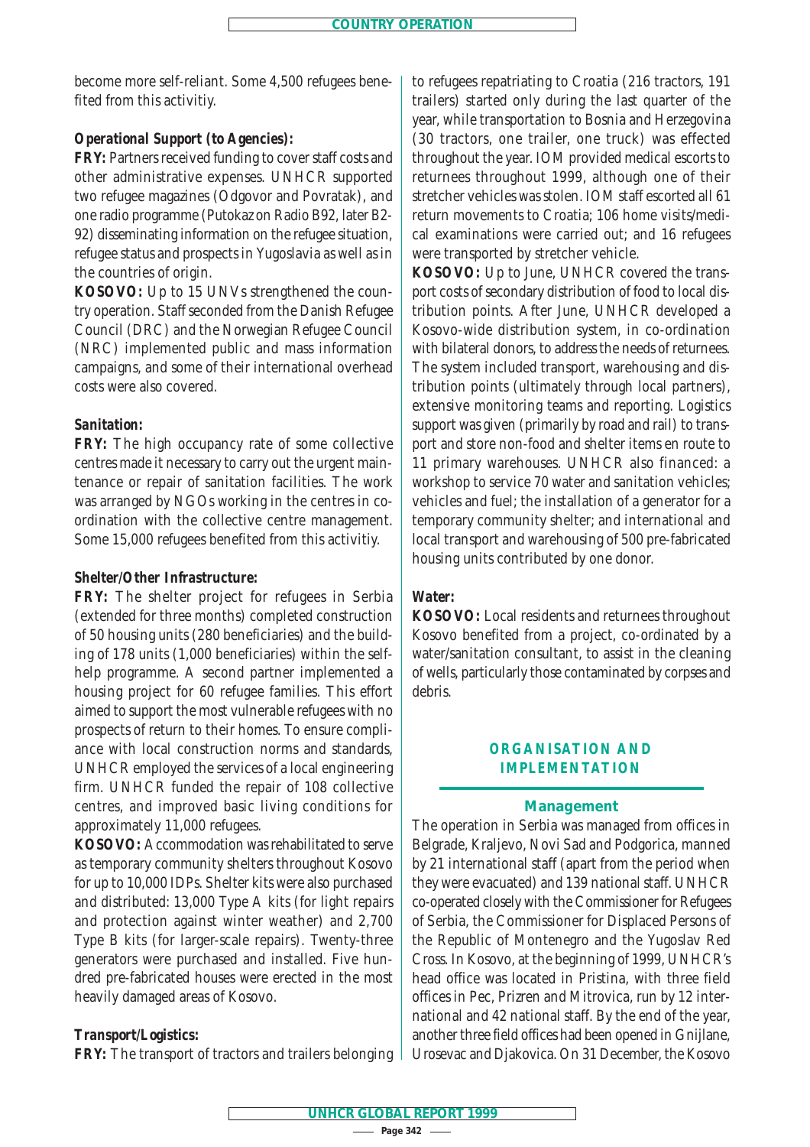become more self-reliant. Some 4,500 refugees benefited from this activitiy.

# *Operational Support (to Agencies):*

*FRY:* Partners received funding to cover staff costs and other administrative expenses. UNHCR supported two refugee magazines (Odgovor and Povratak), and one radio programme (Putokaz on Radio B92, later B2- 92) disseminating information on the refugee situation, refugee status and prospects in Yugoslavia as well as in the countries of origin.

*KOSOVO:* Up to 15 UNVs strengthened the country operation. Staff seconded from the Danish Refugee Council (DRC) and the Norwegian Refugee Council (NRC) implemented public and mass information campaigns, and some of their international overhead costs were also covered.

# *Sanitation:*

*FRY:* The high occupancy rate of some collective centres made it necessary to carry out the urgent maintenance or repair of sanitation facilities. The work was arranged by NGOs working in the centres in coordination with the collective centre management. Some 15,000 refugees benefited from this activitiy.

## *Shelter/Other Infrastructure:*

*FRY:* The shelter project for refugees in Serbia (extended for three months) completed construction of 50 housing units (280 beneficiaries) and the building of 178 units (1,000 beneficiaries) within the selfhelp programme. A second partner implemented a housing project for 60 refugee families. This effort aimed to support the most vulnerable refugees with no prospects of return to their homes. To ensure compliance with local construction norms and standards, UNHCR employed the services of a local engineering firm. UNHCR funded the repair of 108 collective centres, and improved basic living conditions for approximately 11,000 refugees.

KOSOVO: Accommodation was rehabilitated to serve as temporary community shelters throughout Kosovo for up to 10,000 IDPs. Shelter kits were also purchased and distributed: 13,000 Type A kits (for light repairs and protection against winter weather) and 2,700 Type B kits (for larger-scale repairs). Twenty-three generators were purchased and installed. Five hundred pre-fabricated houses were erected in the most heavily damaged areas of Kosovo.

# *Transport/Logistics:*

*FRY:* The transport of tractors and trailers belonging

to refugees repatriating to Croatia (216 tractors, 191 trailers) started only during the last quarter of the year, while transportation to Bosnia and Herzegovina (30 tractors, one trailer, one truck) was effected throughout the year. IOM provided medical escorts to returnees throughout 1999, although one of their stretcher vehicles was stolen. IOM staff escorted all 61 return movements to Croatia; 106 home visits/medical examinations were carried out; and 16 refugees were transported by stretcher vehicle.

*KOSOVO:* Up to June, UNHCR covered the transport costs of secondary distribution of food to local distribution points. After June, UNHCR developed a Kosovo-wide distribution system, in co-ordination with bilateral donors, to address the needs of returnees. The system included transport, warehousing and distribution points (ultimately through local partners), extensive monitoring teams and reporting. Logistics support was given (primarily by road and rail) to transport and store non-food and shelter items en route to 11 primary warehouses. UNHCR also financed: a workshop to service 70 water and sanitation vehicles; vehicles and fuel; the installation of a generator for a temporary community shelter; and international and local transport and warehousing of 500 pre-fabricated housing units contributed by one donor.

# *Water:*

*KOSOVO:* Local residents and returnees throughout Kosovo benefited from a project, co-ordinated by a water/sanitation consultant, to assist in the cleaning of wells, particularly those contaminated by corpses and debris.

# **ORGANISATION AND IMPLEMENTATION**

## **Management**

The operation in Serbia was managed from offices in Belgrade, Kraljevo, Novi Sad and Podgorica, manned by 21 international staff (apart from the period when they were evacuated) and 139 national staff. UNHCR co-operated closely with the Commissioner for Refugees of Serbia, the Commissioner for Displaced Persons of the Republic of Montenegro and the Yugoslav Red Cross. In Kosovo, at the beginning of 1999, UNHCR's head office was located in Pristina, with three field offices in Pec, Prizren and Mitrovica, run by 12 international and 42 national staff. By the end of the year, another three field offices had been opened in Gnijlane, Urosevac and Djakovica. On 31 December, the Kosovo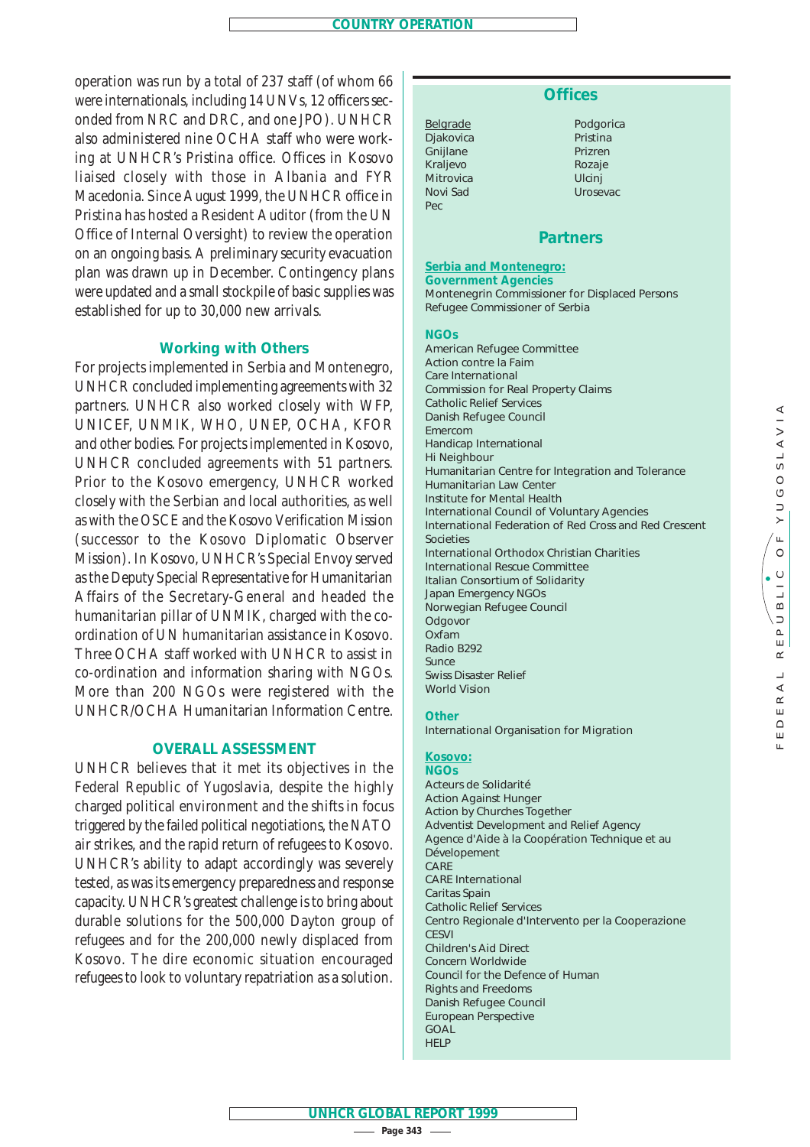operation was run by a total of 237 staff (of whom 66 were internationals, including 14 UNVs, 12 officers seconded from NRC and DRC, and one JPO). UNHCR also administered nine OCHA staff who were working at UNHCR's Pristina office. Offices in Kosovo liaised closely with those in Albania and FYR Macedonia. Since August 1999, the UNHCR office in Pristina has hosted a Resident Auditor (from the UN Office of Internal Oversight) to review the operation on an ongoing basis. A preliminary security evacuation plan was drawn up in December. Contingency plans were updated and a small stockpile of basic supplies was established for up to 30,000 new arrivals.

## **Working with Others**

For projects implemented in Serbia and Montenegro, UNHCR concluded implementing agreements with 32 partners. UNHCR also worked closely with WFP, UNICEF, UNMIK, WHO, UNEP, OCHA, KFOR and other bodies. For projects implemented in Kosovo, UNHCR concluded agreements with 51 partners. Prior to the Kosovo emergency, UNHCR worked closely with the Serbian and local authorities, as well as with the OSCE and the Kosovo Verification Mission (successor to the Kosovo Diplomatic Observer Mission). In Kosovo, UNHCR's Special Envoy served as the Deputy Special Representative for Humanitarian Affairs of the Secretary-General and headed the humanitarian pillar of UNMIK, charged with the coordination of UN humanitarian assistance in Kosovo. Three OCHA staff worked with UNHCR to assist in co-ordination and information sharing with NGOs. More than 200 NGOs were registered with the UNHCR/OCHA Humanitarian Information Centre.

## **OVERALL ASSESSMENT**

UNHCR believes that it met its objectives in the Federal Republic of Yugoslavia, despite the highly charged political environment and the shifts in focus triggered by the failed political negotiations, the NATO air strikes, and the rapid return of refugees to Kosovo. UNHCR's ability to adapt accordingly was severely tested, as was its emergency preparedness and response capacity. UNHCR's greatest challenge is to bring about durable solutions for the 500,000 Dayton group of refugees and for the 200,000 newly displaced from Kosovo. The dire economic situation encouraged refugees to look to voluntary repatriation as a solution.

# **Offices**

Belgrade Djakovica Gnijlane Kraljevo Mitrovica Novi Sad Pec

Podgorica Pristina Prizren Rozaje Ulcinj Urosevac

## **Partners**

## **Serbia and Montenegro:**

 $\simeq$ 툽  $\hfill \Box$ Щ  $\mathbf{L}$ 

**Government Agencies** Montenegrin Commissioner for Displaced Persons Refugee Commissioner of Serbia

#### **NGOs**

American Refugee Committee *Action contre la Faim*  Care International Commission for Real Property Claims Catholic Relief Services Danish Refugee Council *Emercom* Handicap International Hi Neighbour Humanitarian Centre for Integration and Tolerance Humanitarian Law Center Institute for Mental Health International Council of Voluntary Agencies International Federation of Red Cross and Red Crescent Societies International Orthodox Christian Charities International Rescue Committee Italian Consortium of Solidarity Japan Emergency NGOs Norwegian Refugee Council *Odgovor* Oxfam Radio B292 *Sunce* Swiss Disaster Relief World Vision

#### **Other**

International Organisation for Migration

#### **Kosovo:**

**NGOs** *Acteurs de Solidarité*  Action Against Hunger Action by Churches Together Adventist Development and Relief Agency *Agence d'Aide à la Coopération Technique et au* Dévelopement CARE CARE International Caritas Spain Catholic Relief Services *Centro Regionale d'Intervento per la Cooperazione*  **CESVI** Children's Aid Direct Concern Worldwide Council for the Defence of Human Rights and Freedoms Danish Refugee Council European Perspective GOAL **HELP**